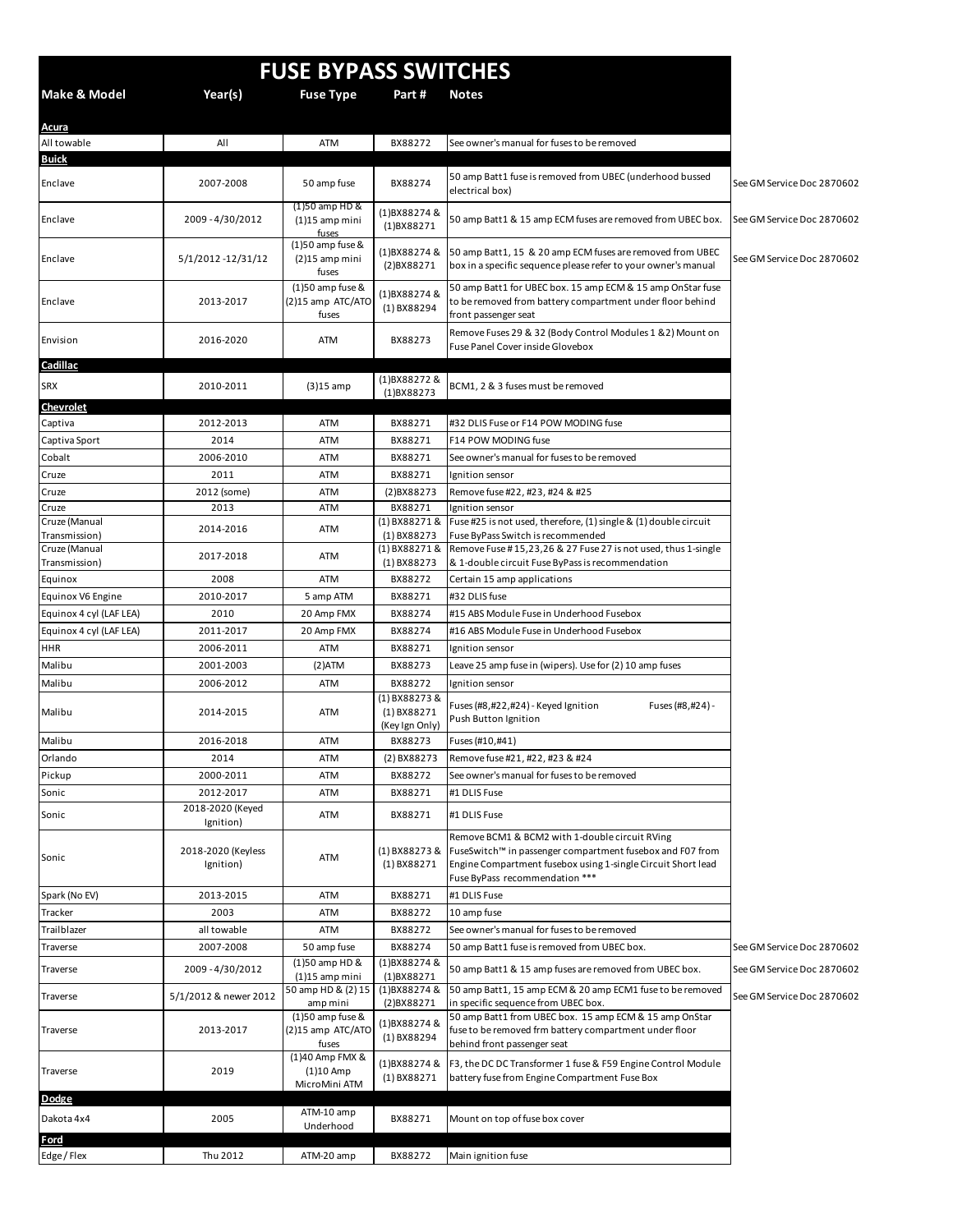| <b>FUSE BYPASS SWITCHES</b>    |                                 |                                                  |                                                  |                                                                                                                                                                                                               |                            |  |  |
|--------------------------------|---------------------------------|--------------------------------------------------|--------------------------------------------------|---------------------------------------------------------------------------------------------------------------------------------------------------------------------------------------------------------------|----------------------------|--|--|
| <b>Make &amp; Model</b>        | Year(s)                         | <b>Fuse Type</b>                                 | Part#                                            | <b>Notes</b>                                                                                                                                                                                                  |                            |  |  |
| <b>Acura</b><br>All towable    | All                             | ATM                                              | BX88272                                          | See owner's manual for fuses to be removed                                                                                                                                                                    |                            |  |  |
| <b>Buick</b>                   |                                 |                                                  |                                                  |                                                                                                                                                                                                               |                            |  |  |
| Enclave                        | 2007-2008                       | 50 amp fuse                                      | BX88274                                          | 50 amp Batt1 fuse is removed from UBEC (underhood bussed<br>electrical box)                                                                                                                                   | See GM Service Doc 2870602 |  |  |
| Enclave                        | 2009-4/30/2012                  | (1)50 amp HD &<br>$(1)15$ amp mini<br>fuses      | (1)BX88274 &<br>$(1)$ BX88271                    | 50 amp Batt1 & 15 amp ECM fuses are removed from UBEC box.                                                                                                                                                    | See GM Service Doc 2870602 |  |  |
| Enclave                        | 5/1/2012 -12/31/12              | $(1)50$ amp fuse &<br>$(2)15$ amp mini<br>fuses  | (1)BX88274&<br>(2)BX88271                        | 50 amp Batt1, 15 & 20 amp ECM fuses are removed from UBEC<br>box in a specific sequence please refer to your owner's manual                                                                                   | See GM Service Doc 2870602 |  |  |
| Enclave                        | 2013-2017                       | $(1)50$ amp fuse &<br>(2)15 amp ATC/ATO<br>fuses | (1)BX88274 &<br>$(1)$ BX88294                    | 50 amp Batt1 for UBEC box. 15 amp ECM & 15 amp OnStar fuse<br>to be removed from battery compartment under floor behind<br>front passenger seat                                                               |                            |  |  |
| Envision                       | 2016-2020                       | <b>ATM</b>                                       | BX88273                                          | Remove Fuses 29 & 32 (Body Control Modules 1 & 2) Mount on<br>Fuse Panel Cover inside Glovebox                                                                                                                |                            |  |  |
| Cadillac                       |                                 |                                                  |                                                  |                                                                                                                                                                                                               |                            |  |  |
| <b>SRX</b>                     | 2010-2011                       | $(3)15$ amp                                      | (1)BX88272&<br>$(1)$ BX88273                     | BCM1, 2 & 3 fuses must be removed                                                                                                                                                                             |                            |  |  |
| <b>Chevrolet</b>               |                                 |                                                  |                                                  |                                                                                                                                                                                                               |                            |  |  |
| Captiva                        | 2012-2013                       | ATM                                              | BX88271                                          | #32 DLIS Fuse or F14 POW MODING fuse                                                                                                                                                                          |                            |  |  |
| Captiva Sport                  | 2014                            | ATM                                              | BX88271                                          | F14 POW MODING fuse                                                                                                                                                                                           |                            |  |  |
| Cobalt                         | 2006-2010                       | ATM                                              | BX88271                                          | See owner's manual for fuses to be removed                                                                                                                                                                    |                            |  |  |
| Cruze                          | 2011                            | ATM                                              | BX88271                                          | Ignition sensor                                                                                                                                                                                               |                            |  |  |
| Cruze<br>Cruze                 | 2012 (some)<br>2013             | ATM<br>ATM                                       | (2)BX88273<br>BX88271                            | Remove fuse #22, #23, #24 & #25<br>Ignition sensor                                                                                                                                                            |                            |  |  |
| Cruze (Manual                  |                                 |                                                  | (1) BX88271 &                                    | Fuse #25 is not used, therefore, (1) single & (1) double circuit                                                                                                                                              |                            |  |  |
| Transmission)                  | 2014-2016                       | ATM                                              | $(1)$ BX88273                                    | Fuse ByPass Switch is recommended                                                                                                                                                                             |                            |  |  |
| Cruze (Manual<br>Transmission) | 2017-2018                       | ATM                                              | (1) BX88271 &<br>$(1)$ BX88273                   | Remove Fuse #15,23,26 & 27 Fuse 27 is not used, thus 1-single<br>& 1-double circuit Fuse ByPass is recommendation                                                                                             |                            |  |  |
| Equinox                        | 2008                            | ATM                                              | BX88272                                          | Certain 15 amp applications                                                                                                                                                                                   |                            |  |  |
| Equinox V6 Engine              | 2010-2017                       | 5 amp ATM                                        | BX88271                                          | #32 DLIS fuse                                                                                                                                                                                                 |                            |  |  |
| Equinox 4 cyl (LAF LEA)        | 2010                            | 20 Amp FMX                                       | BX88274                                          | #15 ABS Module Fuse in Underhood Fusebox                                                                                                                                                                      |                            |  |  |
| Equinox 4 cyl (LAF LEA)        | 2011-2017                       | 20 Amp FMX                                       | BX88274                                          | #16 ABS Module Fuse in Underhood Fusebox                                                                                                                                                                      |                            |  |  |
| HHR                            | 2006-2011                       | ATM                                              | BX88271                                          | Ignition sensor                                                                                                                                                                                               |                            |  |  |
| Malibu                         | 2001-2003                       | $(2)$ ATM                                        | BX88273                                          | Leave 25 amp fuse in (wipers). Use for (2) 10 amp fuses                                                                                                                                                       |                            |  |  |
| Malibu                         | 2006-2012                       | ATM                                              | BX88272                                          | Ignition sensor                                                                                                                                                                                               |                            |  |  |
| Malibu                         | 2014-2015                       | ATM                                              | (1) BX88273 &<br>$(1)$ BX88271<br>(Key Ign Only) | Fuses (#8,#22,#24) - Keyed Ignition<br>Fuses (#8,#24) -<br>Push Button Ignition                                                                                                                               |                            |  |  |
| Malibu                         | 2016-2018                       | ATM                                              | BX88273                                          | Fuses (#10,#41)                                                                                                                                                                                               |                            |  |  |
| Orlando                        | 2014                            | ATM                                              | (2) BX88273                                      | Remove fuse #21, #22, #23 & #24                                                                                                                                                                               |                            |  |  |
| Pickup                         | 2000-2011                       | ATM                                              | BX88272                                          | See owner's manual for fuses to be removed                                                                                                                                                                    |                            |  |  |
| Sonic                          | 2012-2017                       | ATM                                              | BX88271                                          | #1 DLIS Fuse                                                                                                                                                                                                  |                            |  |  |
| Sonic                          | 2018-2020 (Keyed<br>Ignition)   | ATM                                              | BX88271                                          | #1 DLIS Fuse                                                                                                                                                                                                  |                            |  |  |
| Sonic                          | 2018-2020 (Keyless<br>Ignition) | ATM                                              | (1) BX88273 &<br>$(1)$ BX88271                   | Remove BCM1 & BCM2 with 1-double circuit RVing<br>FuseSwitch™ in passenger compartment fusebox and F07 from<br>Engine Compartment fusebox using 1-single Circuit Short lead<br>Fuse ByPass recommendation *** |                            |  |  |
| Spark (No EV)                  | 2013-2015                       | ATM                                              | BX88271                                          | #1 DLIS Fuse                                                                                                                                                                                                  |                            |  |  |
| Tracker                        | 2003                            | ATM                                              | BX88272                                          | 10 amp fuse                                                                                                                                                                                                   |                            |  |  |
| Trailblazer                    | all towable                     | ATM                                              | BX88272                                          | See owner's manual for fuses to be removed                                                                                                                                                                    |                            |  |  |
| Traverse                       | 2007-2008                       | 50 amp fuse                                      | BX88274                                          | 50 amp Batt1 fuse is removed from UBEC box.                                                                                                                                                                   | See GM Service Doc 2870602 |  |  |
| Traverse                       | 2009-4/30/2012                  | (1)50 amp HD &<br>$(1)15$ amp mini               | (1)BX88274 &<br>$(1)$ BX88271                    | 50 amp Batt1 & 15 amp fuses are removed from UBEC box.                                                                                                                                                        | See GM Service Doc 2870602 |  |  |
| Traverse                       | 5/1/2012 & newer 2012           | 50 amp HD & (2) 15<br>amp mini                   | (1)BX88274&<br>(2)BX88271                        | 50 amp Batt1, 15 amp ECM & 20 amp ECM1 fuse to be removed<br>in specific sequence from UBEC box.                                                                                                              | See GM Service Doc 2870602 |  |  |
| Traverse                       | 2013-2017                       | $(1)50$ amp fuse &<br>(2)15 amp ATC/ATO<br>fuses | (1)BX88274&<br>$(1)$ BX88294                     | 50 amp Batt1 from UBEC box. 15 amp ECM & 15 amp OnStar<br>fuse to be removed frm battery compartment under floor<br>behind front passenger seat                                                               |                            |  |  |
| Traverse                       | 2019                            | (1)40 Amp FMX &<br>$(1)10$ Amp<br>MicroMini ATM  | (1)BX88274 &<br>$(1)$ BX88271                    | F3, the DC DC Transformer 1 fuse & F59 Engine Control Module<br>battery fuse from Engine Compartment Fuse Box                                                                                                 |                            |  |  |
| <b>Dodge</b><br>Dakota 4x4     | 2005                            | ATM-10 amp<br>Underhood                          | BX88271                                          | Mount on top of fuse box cover                                                                                                                                                                                |                            |  |  |
| Ford                           |                                 |                                                  |                                                  |                                                                                                                                                                                                               |                            |  |  |
| Edge / Flex                    | Thu 2012                        | ATM-20 amp                                       | BX88272                                          | Main ignition fuse                                                                                                                                                                                            |                            |  |  |